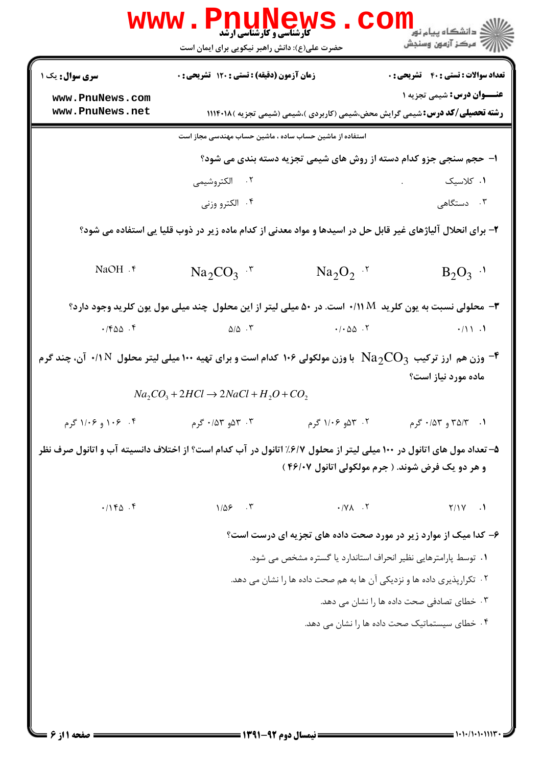| <b>WWW</b> .                                                                                                                                                             | <b>کارشناسی و کارشناسی ارشد</b><br>حضرت علی(ع): دانش راهبر نیکویی برای ایمان است                                   |                                                                   | <mark>ڪ دانشڪاه پيام نور</mark><br>ر آمرڪز آزمون وسنڊش                                                                  |  |
|--------------------------------------------------------------------------------------------------------------------------------------------------------------------------|--------------------------------------------------------------------------------------------------------------------|-------------------------------------------------------------------|-------------------------------------------------------------------------------------------------------------------------|--|
| <b>سری سوال :</b> یک ۱                                                                                                                                                   | زمان آزمون (دقیقه) : تستی : ۱۲۰ تشریحی : 0                                                                         |                                                                   | <b>تعداد سوالات : تستی : 40 - تشریحی : 0</b>                                                                            |  |
| www.PnuNews.com<br>www.PnuNews.net                                                                                                                                       |                                                                                                                    |                                                                   | <b>عنــوان درس:</b> شیمی تجزیه ۱<br><b>رشته تحصیلی/کد درس:</b> شیمی گرایش محض،شیمی (کاربردی )،شیمی (شیمی تجزیه )۱۱۱۴۰۱۸ |  |
|                                                                                                                                                                          | استفاده از ماشین حساب ساده ، ماشین حساب مهندسی مجاز است                                                            |                                                                   |                                                                                                                         |  |
|                                                                                                                                                                          |                                                                                                                    | ا- حجم سنجی جزو کدام دسته از روش های شیمی تجزیه دسته بندی می شود؟ |                                                                                                                         |  |
|                                                                                                                                                                          | ۰۲ الکتروشیمی                                                                                                      |                                                                   | ۰۱ کلاسیک                                                                                                               |  |
|                                                                                                                                                                          | ۰۴ الکترو وزنی                                                                                                     |                                                                   | ۰۳ دستگاهی                                                                                                              |  |
| ۲- برای انحلال آلیاژهای غیر قابل حل در اسیدها و مواد معدنی از کدام ماده زیر در ذوب قلیا یی استفاده می شود؟                                                               |                                                                                                                    |                                                                   |                                                                                                                         |  |
| NaOH . ۴                                                                                                                                                                 | $\text{Na}_2\text{CO}_3$ .                                                                                         | $\text{Na}_2\text{O}_2$ .                                         | $B_2O_3$ <sup>.1</sup>                                                                                                  |  |
|                                                                                                                                                                          | <b>۳</b> - محلولی نسبت به یون کلرید   ۱/ ۰/۱۱ است. در ۵۰ میلی لیتر از این محلول  چند میلی مول یون کلرید وجود دارد؟ |                                                                   |                                                                                                                         |  |
| $\cdot$ /۴۵۵.۴                                                                                                                                                           | $\Delta/\Delta$ . ۳                                                                                                | $\cdot$ / $\cdot$ $\Delta\Delta$ $\cdot$ $\cdot$ $\cdot$          | $\cdot/11.1$                                                                                                            |  |
| وزن هم ارز ترکیب $\rm Na_{2}CO_{3}$ با وزن مولکولی ۱۰۶ کدام است و برای تهیه ۱۰۰ میلی لیتر محلول ۱۸/۰۰ آن، چند گرم $^{\bullet}$<br>ماده مورد نیاز است؟                    |                                                                                                                    |                                                                   |                                                                                                                         |  |
|                                                                                                                                                                          | $Na_2CO_3 + 2HCl \rightarrow 2NaCl + H_2O + CO_2$                                                                  |                                                                   |                                                                                                                         |  |
| ۰۴ ۱۱۰۶ و ۱/۰۶ گرم                                                                                                                                                       | ۰۳ مه ۱۵۳ <i>۰ گ</i> رم                                                                                            | ۰۲ ۵۳۵ ۱/۰۶ گرم                                                   | ۰۱ - ۳۵/۳ و ۴/۵۳ گرم                                                                                                    |  |
| ۵– تعداد مول های اتانول در ۱۰۰ میلی لیتر از محلول ۶/۷٪ اتانول در آب کدام است؟ از اختلاف دانسیته آب و اتانول صرف نظر<br>و هر دو یک فرض شوند. ( جرم مولکولی اتانول ۴۶/۰۷ ) |                                                                                                                    |                                                                   |                                                                                                                         |  |
| .1140.5                                                                                                                                                                  | $1/\Delta$ $5$ $\sqrt{7}$                                                                                          | $\cdot$ / $\vee$ / $\vee$                                         | $Y/1Y$ .                                                                                                                |  |
|                                                                                                                                                                          |                                                                                                                    | ۶– کدا میک از موارد زیر در مورد صحت داده های تجزیه ای درست است؟   |                                                                                                                         |  |
| ۰۱ توسط پارامترهایی نظیر انحراف استاندارد یا گستره مشخص می شود.                                                                                                          |                                                                                                                    |                                                                   |                                                                                                                         |  |
| ٢. تكرارپذيري داده ها و نزديكي آن ها به هم صحت داده ها را نشان مي دهد.                                                                                                   |                                                                                                                    |                                                                   |                                                                                                                         |  |
| ۰۳ خطای تصادفی صحت داده ها را نشان می دهد.                                                                                                                               |                                                                                                                    |                                                                   |                                                                                                                         |  |
|                                                                                                                                                                          | ۰۴ خطای سیستماتیک صحت داده ها را نشان می دهد.                                                                      |                                                                   |                                                                                                                         |  |
|                                                                                                                                                                          |                                                                                                                    |                                                                   |                                                                                                                         |  |
|                                                                                                                                                                          |                                                                                                                    |                                                                   |                                                                                                                         |  |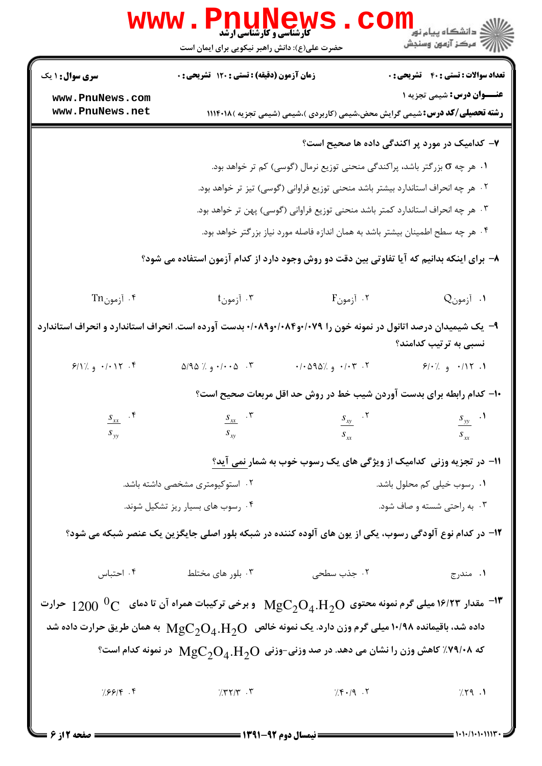|                                                                                                                                           | <b>WWW.PNUNews</b><br><b>گارشناسی و کارشناسی ارشد</b><br>حضرت علی(ع): دانش راهبر نیکویی برای ایمان است |                                                                                                          | الان دانشگاه پيام نور <mark>- -</mark><br>۱۳۸۰ مرکز آزمون وسنجش |  |
|-------------------------------------------------------------------------------------------------------------------------------------------|--------------------------------------------------------------------------------------------------------|----------------------------------------------------------------------------------------------------------|-----------------------------------------------------------------|--|
| <b>سری سوال : ۱ یک</b>                                                                                                                    | زمان آزمون (دقیقه) : تستی : ۱۲۰ تشریحی : ۰                                                             |                                                                                                          | <b>تعداد سوالات : تستی : 40 - تشریحی : 0</b>                    |  |
| www.PnuNews.com<br>www.PnuNews.net                                                                                                        |                                                                                                        | <b>رشته تحصیلی/کد درس:</b> شیمی گرایش محض،شیمی (کاربردی )،شیمی (شیمی تجزیه )۱۱۱۴۰۱۸                      | <b>عنـــوان درس:</b> شیمی تجزیه ۱                               |  |
|                                                                                                                                           | ۷– کدامیک در مورد پر اکندگی داده ها صحیح است؟                                                          |                                                                                                          |                                                                 |  |
|                                                                                                                                           |                                                                                                        | ۰۱ هر چه o بزرگتر باشد، پراکندگی منحنی توزیع نرمال (گوسی) کم تر خواهد بود.                               |                                                                 |  |
|                                                                                                                                           | ۰۲ هر چه انحراف استاندارد بیشتر باشد منحنی توزیع فراوانی (گوسی) تیز تر خواهد بود.                      |                                                                                                          |                                                                 |  |
|                                                                                                                                           | ۰۳ هر چه انحراف استاندارد کمتر باشد منحنی توزیع فراوانی (گوسی) پهن تر خواهد بود.                       |                                                                                                          |                                                                 |  |
|                                                                                                                                           | ۰۴ هر چه سطح اطمینان بیشتر باشد به همان اندازه فاصله مورد نیاز بزرگتر خواهد بود.                       |                                                                                                          |                                                                 |  |
| ۸– برای اینکه بدانیم که آیا تفاوتی بین دقت دو روش وجود دارد از کدام آزمون استفاده می شود؟                                                 |                                                                                                        |                                                                                                          |                                                                 |  |
| ۰۴ آزمونTn                                                                                                                                | ۰۳ آزمون†                                                                                              | ۰۲ آزمونF                                                                                                | ا. آزمونQ                                                       |  |
| ۹- یک شیمیدان درصد اتانول در نمونه خون را ۰/۰۷۹و۰/۰۸۴و۰/۰۸۹+ بدست آورده است. انحراف استاندارد و انحراف استاندارد<br>نسبی به ترتیب کدامند؟ |                                                                                                        |                                                                                                          |                                                                 |  |
| $9/17.9$ $\cdot 117.9$                                                                                                                    | $\Delta$ ۹۵ / ۰/۰۰۵ $\cdot$ ۳                                                                          | ۰/۰۵۹۵٪ و $\cdot$ ۵۹۵٪                                                                                   | $9/·$ (. 1۱۲. و ٪ $/$                                           |  |
|                                                                                                                                           |                                                                                                        | ۱۰– کدام رابطه برای بدست آوردن شیب خط در روش حد اقل مربعات صحیح است؟                                     |                                                                 |  |
| $S_{xx}$ .                                                                                                                                |                                                                                                        | $S_{xx}$ $S_{yy}$ $S_{yy}$ $S_{yy}$ $S_{yy}$                                                             |                                                                 |  |
| $S_{yy}$                                                                                                                                  | $S_{xy}$                                                                                               | $S_{xx}$                                                                                                 | $S_{xx}$                                                        |  |
|                                                                                                                                           |                                                                                                        | 11- در تجزیه وزنی کدامیک از ویژگی های یک رسوب خوب به شمار نمی آید؟                                       |                                                                 |  |
| ۰۲ استوکیومتری مشخصی داشته باشد.                                                                                                          |                                                                                                        |                                                                                                          | ۰۱ رسوب خیلی کم محلول باشد.                                     |  |
|                                                                                                                                           | ۰۴ رسوب های بسیار ریز تشکیل شوند.                                                                      |                                                                                                          | ۰۳ به راحتی شسته و صاف شود.                                     |  |
| ۱۲– در کدام نوع آلودگی رسوب، یکی از یون های آلوده کننده در شبکه بلور اصلی جایگزین یک عنصر شبکه می شود؟                                    |                                                                                                        |                                                                                                          |                                                                 |  |
| ۰۴ احتباس                                                                                                                                 | ۰۳ بلور های مختلط                                                                                      | ۰۲ جذب سطحی                                                                                              | ۰۱ مندرج                                                        |  |
| اس ۱۶/۲۳ مقدار ۱۶/۲۳ میلی گرم نمونه محتوی $\rm{MgC}_{2}O_{4}$ .H و برخی ترکیبات همراه آن تا دمای $^{0}$ $\rm{C}$ 19/۲۳ $^{-1}$            |                                                                                                        |                                                                                                          |                                                                 |  |
|                                                                                                                                           |                                                                                                        | داده شد، باقیمانده ۱۰/۹۸ میلی گرم وزن دارد. یک نمونه خالص $\rm{MgC}_{2}O_{4}$ به همان طریق حرارت داده شد |                                                                 |  |
|                                                                                                                                           |                                                                                                        | یه ۷۹/۰۸٪ کاهش وزن را نشان می دهد. در صد وزنی-وزنی $\rm{MgC}_2O_4$ ، $\rm{MgC}_2O_4$ در نمونه کدام است؟  |                                                                 |  |
| 7.8819.9                                                                                                                                  | 7.7777                                                                                                 | $7.9 - 7.7$                                                                                              | 7.79.1                                                          |  |

**= نیمسال دوم ۹۲-۱۳۹۱ <del>-</del>** 

صفحه 2 از 6 =

 $= 1.1 - (1.1.111)$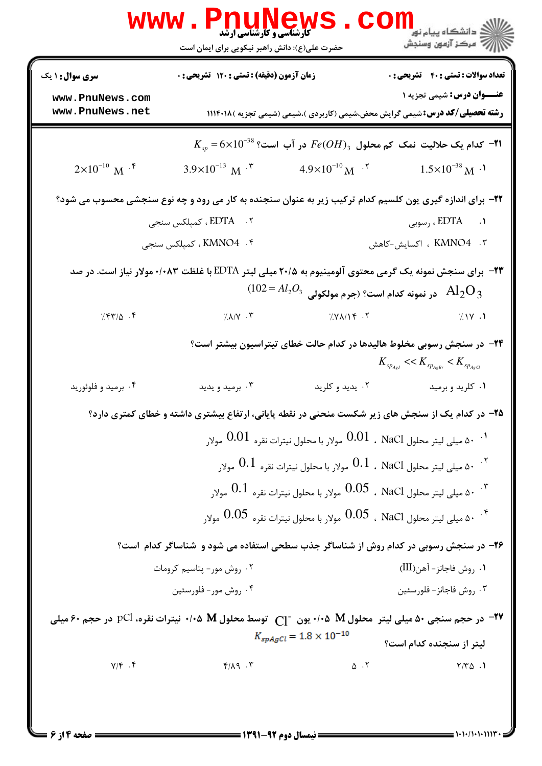| <b>سری سوال : ۱ یک</b>                                                                                        | زمان آزمون (دقیقه) : تستی : ۱۲۰ تشریحی : ۰                                                               |                                    | <b>تعداد سوالات : تستی : 40 - تشریحی : 0</b>                                                                   |
|---------------------------------------------------------------------------------------------------------------|----------------------------------------------------------------------------------------------------------|------------------------------------|----------------------------------------------------------------------------------------------------------------|
| www.PnuNews.com                                                                                               |                                                                                                          |                                    | <b>عنـــوان درس:</b> شیمی تجزیه ۱                                                                              |
| www.PnuNews.net                                                                                               |                                                                                                          |                                    | <b>رشته تحصیلی/کد درس:</b> شیمی گرایش محض،شیمی (کاربردی )،شیمی (شیمی تجزیه )۱۱۱۴۰۱۸                            |
|                                                                                                               |                                                                                                          |                                    | $K_{_{sp}}\!=\!6\!\times\!10^{-38}\,$ ا در آب است؟ $Fe(OH)_3$ در آب است $\!$                                   |
| $2\times10^{-10}$ M <sup>-f</sup>                                                                             | $3.9\times10^{-13}$ M <sup>-<math>\tau</math></sup>                                                      | $4.9\times10^{-10}$ M $^{-1}$      | $1.5 \times 10^{-38}$ M <sup>-1</sup>                                                                          |
|                                                                                                               |                                                                                                          |                                    | ۲۲- برای اندازه گیری یون کلسیم کدام ترکیب زیر به عنوان سنجنده به کار می رود و چه نوع سنجشی محسوب می شود؟       |
|                                                                                                               | ۲. EDTA ، کمپلکس سنجی                                                                                    |                                    | ۱. EDTA ، رسوبی                                                                                                |
|                                                                                                               | ۴.  KMNO4، کمپلکس سنجی                                                                                   |                                    | ۰۳ . KMNO4 ، اکسایش-کاهش                                                                                       |
|                                                                                                               |                                                                                                          |                                    | <b>۲۳</b> – برای سنجش نمونه یک گرمی محتوی آلومینیوم به ۲۰/۵ میلی لیتر EDTA با غلظت ۰/۰۸۳ مولار نیاز است. در صد |
|                                                                                                               |                                                                                                          |                                    | $(102$ ور نمونه کدام است؟ (جرم مولکولی $\mathrm{Al}_2\mathrm{O}_3$                                             |
| $7.84\%$ .                                                                                                    | $7.1/1$ $\cdot$ $\cdot$ $\cdot$                                                                          | 7.7119                             | 7.1Y.1                                                                                                         |
|                                                                                                               |                                                                                                          |                                    | ۲۴– در سنجش رسوبی مخلوط هالیدها در کدام حالت خطای تیتراسیون بیشتر است؟                                         |
|                                                                                                               |                                                                                                          |                                    | $K_{sp_{AgI}} \ll K_{sp_{AgBr}} \ll K_{sp_{AgGI}}$                                                             |
| ۰۴ برمید و فلوئورید                                                                                           | ۰۳ برمید و یدید                                                                                          | ۰۲ يديد و کلريد                    | ۰۱ کلريد و برميد                                                                                               |
|                                                                                                               | <b>۲۵</b> - در کدام یک از سنجش های زیر شکست منحنی در نقطه پایانی، ارتفاع بیشتری داشته و خطای کمتری دارد؟ |                                    |                                                                                                                |
|                                                                                                               |                                                                                                          |                                    | د. ۵۰ میلی لیتر محلول NaCl  ، NaCl   مولار با محلول نیترات نقره $0.01$ مولار $\cdot$                           |
|                                                                                                               |                                                                                                          |                                    | $0.1$ ، ه میلی لیتر محلول NaCl ، NaCl مولار با محلول نیترات نقره $0.1$ مولار $\cdot$ $^{\circ}$                |
|                                                                                                               |                                                                                                          |                                    | ه میلی لیتر محلول NaCl ، NaCl مولار با محلول نیترات نقره $0.1$ مولار $^{\circ}$                                |
|                                                                                                               |                                                                                                          |                                    | ه میلی لیتر محلول NaCl   ، NaCl    مولار با محلول نیترات نقره $0.05$ مولار $\cdot$ "                           |
|                                                                                                               | ۲۶- در سنجش رسوبی در کدام روش از شناساگر جذب سطحی استفاده می شود و شناساگر کدام است؟                     |                                    |                                                                                                                |
|                                                                                                               | ۰۲ روش مور- پتاسیم کرومات                                                                                |                                    | ٠١. روش فاجانز - آهن(III)                                                                                      |
|                                                                                                               | ۰۴ روش مور- فلورسئين                                                                                     |                                    | ۰۳ روش فاجانز - فلورسئين                                                                                       |
| در حجم سنجی ۵۰ میلی لیتر  محلول M ۰/۰۵ یون - سبع محلول M ۰/۰۵   ۱۰۵ نیترات نقره، pCl در حجم ۶۰ میلی (۱۰۵ میلی |                                                                                                          |                                    |                                                                                                                |
|                                                                                                               |                                                                                                          | $K_{spAgCl} = 1.8 \times 10^{-10}$ | لیتر از سنجنده کدام است؟                                                                                       |
| $Y/\mathfrak{f}$ . $\mathfrak{f}$                                                                             | $Y/\lambda$ 9.                                                                                           | $\Delta$ $\cdot$ $\mathsf{Y}$      | $Y/Y\Delta$ .                                                                                                  |

**: نیمسال دوم ۹۲-۱۳۹۱ =** 

صفحه 4 از 6 =

= 1+1+/1+1+111\*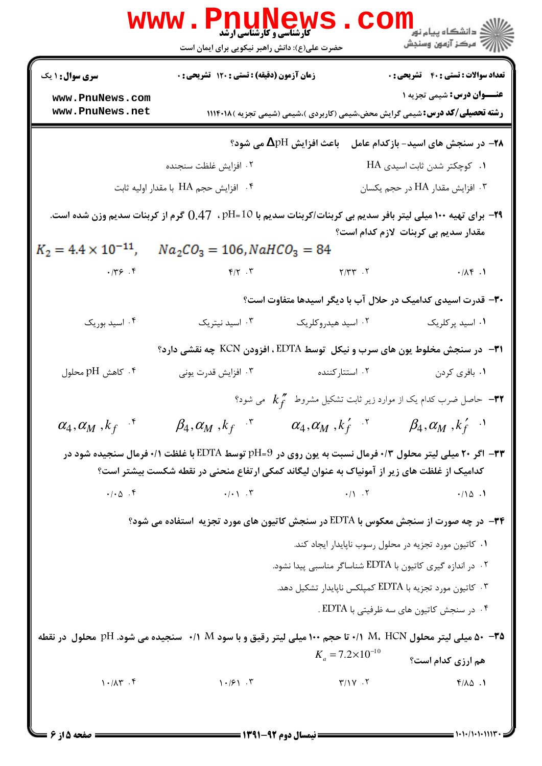|                                                                                                                                                                                                       | <b>www.PnuNews</b>                                                                                                  |                                                                                         | رانشگاه پيام نور <mark>− .</mark><br>ا∛ مرکز آزمون وسنجش |  |
|-------------------------------------------------------------------------------------------------------------------------------------------------------------------------------------------------------|---------------------------------------------------------------------------------------------------------------------|-----------------------------------------------------------------------------------------|----------------------------------------------------------|--|
|                                                                                                                                                                                                       | حضرت علی(ع): دانش راهبر نیکویی برای ایمان است                                                                       |                                                                                         |                                                          |  |
| <b>سری سوال : ۱ یک</b>                                                                                                                                                                                | زمان آزمون (دقیقه) : تستی : ۱۲۰ تشریحی : ۰                                                                          |                                                                                         | <b>تعداد سوالات : تستی : 40 قشریحی : 0</b>               |  |
| www.PnuNews.com<br>www.PnuNews.net                                                                                                                                                                    |                                                                                                                     | <b>رشته تحصیلی/کد درس:</b> شیمی گرایش محض،شیمی (کاربردی )،شیمی (شیمی تجزیه )۱۱۱۴۰۱۸     | <b>عنـــوان درس:</b> شیمی تجزیه ۱                        |  |
| باعث افزایش $\Delta$ pH می شود؟<br>۲۸– در سنجش های اسید- بازکدام عامل                                                                                                                                 |                                                                                                                     |                                                                                         |                                                          |  |
|                                                                                                                                                                                                       | ۰۲ افزایش غلظت سنجنده                                                                                               |                                                                                         | ۰۱ کوچکتر شدن ثابت اسیدی HA                              |  |
|                                                                                                                                                                                                       | ۰۴ افزایش حجم HA با مقدار اولیه ثابت                                                                                |                                                                                         | ۰۳ افزایش مقدار HA در حجم یکسان                          |  |
| ۲۹− برای تهیه ۱۰۰ میلی لیتر بافر سدیم بی کربنات/کربنات سدیم با 10=pH ، ۔0.47 گرم از کربنات سدیم وزن شده است.<br>مقدار سدیم بی کربنات لازم کدام است؟                                                   |                                                                                                                     |                                                                                         |                                                          |  |
| $K_2 = 4.4 \times 10^{-11}$ ,                                                                                                                                                                         | $Na_2CO_3 = 106$ , NaHCO <sub>3</sub> = 84                                                                          |                                                                                         |                                                          |  |
| .779.7                                                                                                                                                                                                | $Y/Y$ $Y$ $Y'Y'Y'Y'Y'Y''$                                                                                           |                                                                                         | $\cdot$ /14 .1                                           |  |
|                                                                                                                                                                                                       |                                                                                                                     | ۳۰– قدرت اسیدی کدامیک در حلال آب با دیگر اسیدها متفاوت است؟                             |                                                          |  |
| ۰۴ اسید بوریک                                                                                                                                                                                         | ۰۳ اسید نیتریک                                                                                                      | ۰۲ اسید هیدروکلریک                                                                      | ۰۱ اسید پرکلریک                                          |  |
|                                                                                                                                                                                                       |                                                                                                                     | ۳۱- در سنجش مخلوط یون های سرب و نیکل توسط EDTA ، افزودن KCN چه نقشی دارد؟               |                                                          |  |
| ۰۴ كاهش pH محلول                                                                                                                                                                                      | ۰۳ افزایش قدرت یونی                                                                                                 | ۰۲ استتارکننده                                                                          | ۰۱ بافری کردن                                            |  |
|                                                                                                                                                                                                       |                                                                                                                     | – حاصل ضرب کدام یک از موارد زیر ثابت تشکیل مشروط $k_{f}^{~\prime\prime}$ می شود؟ $+$ ۳۲ |                                                          |  |
| $\alpha_4, \alpha_M, k_f$ <sup>+</sup>                                                                                                                                                                | $\beta_4, \alpha_M, k_f$ <sup>+</sup>                                                                               | $\alpha_4, \alpha_M, k_f'$ .                                                            | $\beta_4, \alpha_M\;, k_f^\prime\;$ $\cdot\;$            |  |
| ۳۳− اگر ۲۰ میلی لیتر محلول ۰/۳ فرمال نسبت به یون روی در pH=9 توسط EDTA با غلظت ۰/۱ فرمال سنجیده شود در<br>کدامیک از غلظت های زیر از آمونیاک به عنوان لیگاند کمکی ارتفاع منحنی در نقطه شکست بیشتر است؟ |                                                                                                                     |                                                                                         |                                                          |  |
| $\cdot/\cdot \Delta$ .                                                                                                                                                                                |                                                                                                                     | $\cdot / \cdot$ $\cdot$ $\cdot$                                                         | .700.1                                                   |  |
|                                                                                                                                                                                                       | ۳۴− در چه صورت از سنجش معکوس با EDTA در سنجش کاتیون های مورد تجزیه  ستفاده می شود؟                                  |                                                                                         |                                                          |  |
|                                                                                                                                                                                                       |                                                                                                                     | ٠١ كاتيون مورد تجزيه در محلول رسوب ناپايدار ايجاد كند.                                  |                                                          |  |
|                                                                                                                                                                                                       |                                                                                                                     | ۰۲ در اندازه گیری کاتیون با EDTA شناساگر مناسبی پیدا نشود.                              |                                                          |  |
|                                                                                                                                                                                                       |                                                                                                                     | ۰۳ کاتیون مورد تجزیه با EDTA کمپلکس ناپایدار تشکیل دهد.                                 |                                                          |  |
|                                                                                                                                                                                                       |                                                                                                                     |                                                                                         | ۰۴ در سنجش کاتیون های سه ظرفیتی با EDTA .                |  |
|                                                                                                                                                                                                       | <b>۵۰ – ۵۰</b> میلی لیتر محلول M، HCN ۱۰۰ تا حجم ۱۰۰ میلی لیتر رقیق و با سود M ۱/۰ سنجیده می شود. pH محلول ًدر نقطه | $K_a = 7.2 \times 10^{-10}$                                                             | هم ارزی کدام است؟                                        |  |
| $1 - / \Lambda \Upsilon$ . F                                                                                                                                                                          | $1 - 151$ .                                                                                                         | $\mathsf{Y}/\mathsf{Y}$ . $\mathsf{Y}$                                                  | $f/\lambda \Delta$ .1                                    |  |
|                                                                                                                                                                                                       |                                                                                                                     |                                                                                         |                                                          |  |

 $= 1.1 - (1.1.11)$